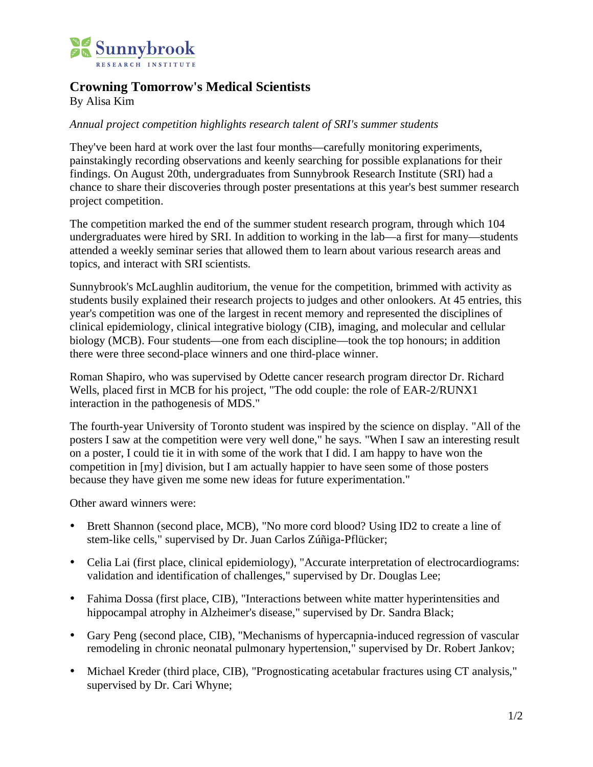

## **Crowning Tomorrow's Medical Scientists**

By Alisa Kim

## *Annual project competition highlights research talent of SRI's summer students*

They've been hard at work over the last four months—carefully monitoring experiments, painstakingly recording observations and keenly searching for possible explanations for their findings. On August 20th, undergraduates from Sunnybrook Research Institute (SRI) had a chance to share their discoveries through poster presentations at this year's best summer research project competition.

The competition marked the end of the summer student research program, through which 104 undergraduates were hired by SRI. In addition to working in the lab—a first for many—students attended a weekly seminar series that allowed them to learn about various research areas and topics, and interact with SRI scientists.

Sunnybrook's McLaughlin auditorium, the venue for the competition, brimmed with activity as students busily explained their research projects to judges and other onlookers. At 45 entries, this year's competition was one of the largest in recent memory and represented the disciplines of clinical epidemiology, clinical integrative biology (CIB), imaging, and molecular and cellular biology (MCB). Four students—one from each discipline—took the top honours; in addition there were three second-place winners and one third-place winner.

Roman Shapiro, who was supervised by Odette cancer research program director Dr. Richard Wells, placed first in MCB for his project, "The odd couple: the role of EAR-2/RUNX1 interaction in the pathogenesis of MDS."

The fourth-year University of Toronto student was inspired by the science on display. "All of the posters I saw at the competition were very well done," he says. "When I saw an interesting result on a poster, I could tie it in with some of the work that I did. I am happy to have won the competition in [my] division, but I am actually happier to have seen some of those posters because they have given me some new ideas for future experimentation."

Other award winners were:

- Brett Shannon (second place, MCB), "No more cord blood? Using ID2 to create a line of stem-like cells," supervised by Dr. Juan Carlos Zúñiga-Pflücker;
- Celia Lai (first place, clinical epidemiology), "Accurate interpretation of electrocardiograms: validation and identification of challenges," supervised by Dr. Douglas Lee;
- Fahima Dossa (first place, CIB), "Interactions between white matter hyperintensities and hippocampal atrophy in Alzheimer's disease," supervised by Dr. Sandra Black;
- Gary Peng (second place, CIB), "Mechanisms of hypercapnia-induced regression of vascular remodeling in chronic neonatal pulmonary hypertension," supervised by Dr. Robert Jankov;
- Michael Kreder (third place, CIB), "Prognosticating acetabular fractures using CT analysis," supervised by Dr. Cari Whyne;